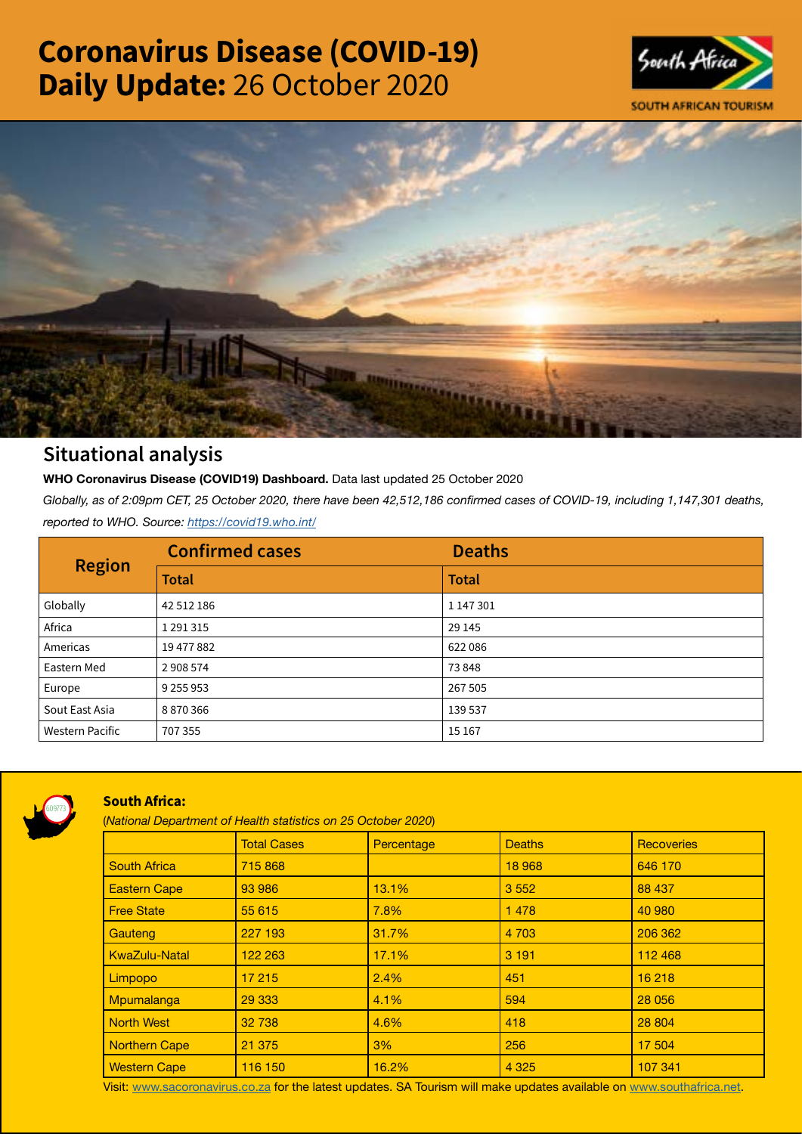# Coronavirus Disease (COVID-19) Daily Update: 26 October 2020





## Situational analysis

**WHO Coronavirus Disease (COVID19) Dashboard.** Data last updated 25 October 2020

*Globally, as of 2:09pm CET, 25 October 2020, there have been 42,512,186 confirmed cases of COVID-19, including 1,147,301 deaths, reported to WHO. Source:<https://covid19.who.int/>*

| <b>Region</b>          | <b>Confirmed cases</b> | <b>Deaths</b> |
|------------------------|------------------------|---------------|
|                        | <b>Total</b>           | <b>Total</b>  |
| Globally               | 42 512 186             | 1 147 301     |
| Africa                 | 1 2 9 1 3 1 5          | 29 145        |
| Americas               | 19 477 882             | 622086        |
| Eastern Med            | 2 908 574              | 73848         |
| Europe                 | 9 2 5 9 9 5 3          | 267 505       |
| Sout East Asia         | 8870366                | 139 537       |
| <b>Western Pacific</b> | 707 355                | 15 167        |



### South Africa:

(*National Department of Health statistics on 25 October 2020*)

|                      | <b>Total Cases</b> | Percentage | <b>Deaths</b> | <b>Recoveries</b> |  |  |
|----------------------|--------------------|------------|---------------|-------------------|--|--|
| <b>South Africa</b>  | 715 868            |            | 18 968        | 646 170           |  |  |
| <b>Eastern Cape</b>  | 93 986             | 13.1%      | 3 5 5 2       | 88 437            |  |  |
| <b>Free State</b>    | 55 615             | 7.8%       | 1478          | 40 980            |  |  |
| Gauteng              | 227 193            | 31.7%      | 4 7 0 3       | 206 362           |  |  |
| <b>KwaZulu-Natal</b> | 122 263            | 17.1%      | 3 1 9 1       | 112 468           |  |  |
| Limpopo              | 17 215             | 2.4%       | 451           | 16 218            |  |  |
| Mpumalanga           | 29 333             | 4.1%       | 594           | 28 056            |  |  |
| <b>North West</b>    | 32 738             | 4.6%       | 418           | 28 804            |  |  |
| Northern Cape        | 21 375             | 3%         | 256           | 17 504            |  |  |
| <b>Western Cape</b>  | 116 150            | 16.2%      | 4 3 2 5       | 107 341           |  |  |

Visit: [www.sacoronavirus.co.za](http://www.sacoronavirus.co.za) for the latest updates. SA Tourism will make updates available on [www.southafrica.net.](http://www.southafrica.net)